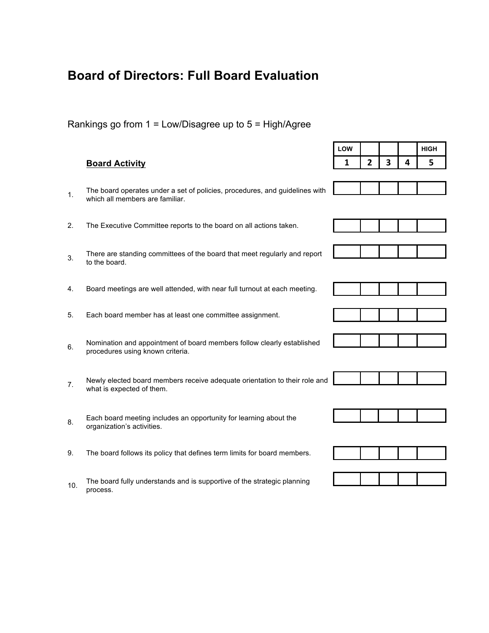# **Board of Directors: Full Board Evaluation**

## Rankings go from 1 = Low/Disagree up to 5 = High/Agree

### **Board Activity**

- 1. The board operates under a set of policies, procedures, and guidelines with which all members are familiar.
- 2. The Executive Committee reports to the board on all actions taken.
- 3. There are standing committees of the board that meet regularly and report to the board.
- 4. Board meetings are well attended, with near full turnout at each meeting.
- 5. Each board member has at least one committee assignment.
- 6. Nomination and appointment of board members follow clearly established procedures using known criteria.
- 7. Newly elected board members receive adequate orientation to their role and what is expected of them.
- 8. Each board meeting includes an opportunity for learning about the organization's activities.
- 9. The board follows its policy that defines term limits for board members.
- 10. The board fully understands and is supportive of the strategic planning process.

| LOW |              |   |   | <b>HIGH</b> |
|-----|--------------|---|---|-------------|
| 1   | $\mathbf{2}$ | 3 | 4 | 5           |
|     |              |   |   |             |
|     |              |   |   |             |
|     |              |   |   |             |
|     |              |   |   |             |
|     |              |   |   |             |
|     |              |   |   |             |
|     |              |   |   |             |
|     |              |   |   |             |
|     |              |   |   |             |
|     |              |   |   |             |
|     |              |   |   |             |
|     |              |   |   |             |
|     |              |   |   |             |
|     |              |   |   |             |
|     |              |   |   |             |
|     |              |   |   |             |
|     |              |   |   |             |
|     |              |   |   |             |
|     |              |   |   |             |
|     |              |   |   |             |
|     |              |   |   |             |

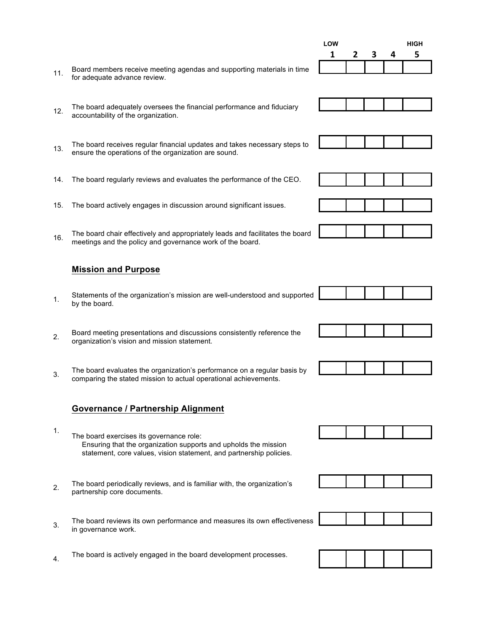- 11. Board members receive meeting agendas and supporting materials in time for adequate advance review.
- 12. The board adequately oversees the financial performance and fiduciary accountability of the organization.
- 13. The board receives regular financial updates and takes necessary steps to ensure the operations of the organization are sound.
- 14. The board regularly reviews and evaluates the performance of the CEO.
- 15. The board actively engages in discussion around significant issues.
- 16. The board chair effectively and appropriately leads and facilitates the board meetings and the policy and governance work of the board.

#### **Mission and Purpose**

- 1. Statements of the organization's mission are well-understood and supported by the board.
- 2. Board meeting presentations and discussions consistently reference the organization's vision and mission statement.
- 3. The board evaluates the organization's performance on a regular basis by comparing the stated mission to actual operational achievements.

#### **Governance / Partnership Alignment**

- 1. The board exercises its governance role: Ensuring that the organization supports and upholds the mission statement, core values, vision statement, and partnership policies.
- 2. The board periodically reviews, and is familiar with, the organization's partnership core documents.
- 3. The board reviews its own performance and measures its own effectiveness in governance work.
- 4. The board is actively engaged in the board development processes.

















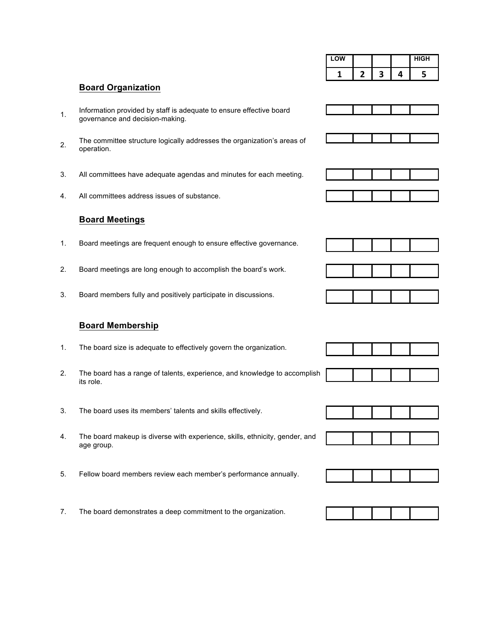| LOW |  | <b>HIGH</b> |
|-----|--|-------------|
|     |  |             |

#### **Board Organization**

- 1. Information provided by staff is adequate to ensure effective board governance and decision-making.
- 2. The committee structure logically addresses the organization's areas of operation.
- 3. All committees have adequate agendas and minutes for each meeting.
- 4. All committees address issues of substance.

#### **Board Meetings**

- 1. Board meetings are frequent enough to ensure effective governance.
- 2. Board meetings are long enough to accomplish the board's work.
- 3. Board members fully and positively participate in discussions.

#### **Board Membership**

- 1. The board size is adequate to effectively govern the organization.
- 2. The board has a range of talents, experience, and knowledge to accomplish its role.
- 3. The board uses its members' talents and skills effectively.
- 4. The board makeup is diverse with experience, skills, ethnicity, gender, and age group.
- 5. Fellow board members review each member's performance annually.
- 7. The board demonstrates a deep commitment to the organization.